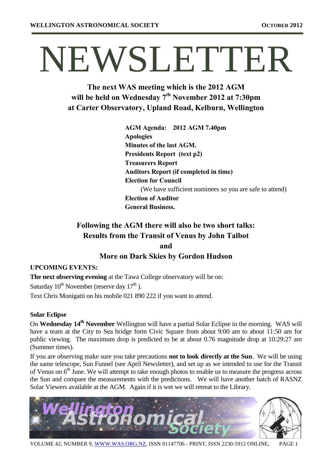# NEWSLETTER

**The next WAS meeting which is the 2012 AGM will be held on Wednesday 7th November 2012 at 7:30pm at Carter Observatory, Upland Road, Kelburn, Wellington**

| AGM Agenda: 2012 AGM 7.40pm                   |                                                         |
|-----------------------------------------------|---------------------------------------------------------|
| <b>Apologies</b>                              |                                                         |
| Minutes of the last AGM.                      |                                                         |
| Presidents Report (text p2)                   |                                                         |
| <b>Treasurers Report</b>                      |                                                         |
| <b>Auditors Report (if completed in time)</b> |                                                         |
| <b>Election for Council</b>                   |                                                         |
|                                               | (We have sufficient nominees so you are safe to attend) |
| <b>Election of Auditor</b>                    |                                                         |
| <b>General Business.</b>                      |                                                         |

# **Following the AGM there will also be two short talks: Results from the Transit of Venus by John Talbot and**

## **More on Dark Skies by Gordon Hudson**

## **UPCOMING EVENTS:**

**The next observing evening** at the Tawa College observatory will be on: Saturday  $10^{th}$  November (reserve day  $17^{th}$ ). Text Chris Monigatti on his mobile 021 890 222 if you want to attend.

### **Solar Eclipse**

On **Wednesday 14th November** Wellington will have a partial Solar Eclipse in the morning. WAS will have a team at the City to Sea bridge form Civic Square from about 9:00 am to about 11:50 am for public viewing. The maximum drop is predicted to be at about 0.76 magnitude drop at 10:29:27 am (Summer times).

If you are observing make sure you take precautions **not to look directly at the Sun**. We will be using the same telescope, Sun Funnel (see April Newsletter), and set up as we intended to use for the Transit of Venus on 6<sup>th</sup> June. We will attempt to take enough photos to enable us to measure the progress across the Sun and compare the measurements with the predictions. We will have another batch of RASNZ Solar Viewers available at the AGM. Again if it is wet we will retreat to the Library.

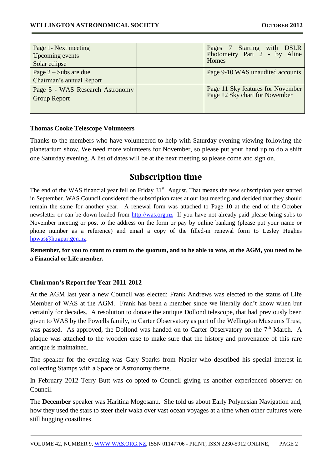| Page 1- Next meeting<br>Upcoming events<br>Solar eclipse | Pages 7 Starting with DSLR<br>Photometry Part 2 - by Aline<br><b>Homes</b> |
|----------------------------------------------------------|----------------------------------------------------------------------------|
| Page $2$ – Subs are due<br>Chairman's annual Report      | Page 9-10 WAS unaudited accounts                                           |
| Page 5 - WAS Research Astronomy<br><b>Group Report</b>   | Page 11 Sky features for November<br>Page 12 Sky chart for November        |

#### **Thomas Cooke Telescope Volunteers**

Thanks to the members who have volunteered to help with Saturday evening viewing following the planetarium show. We need more volunteers for November, so please put your hand up to do a shift one Saturday evening. A list of dates will be at the next meeting so please come and sign on.

## **Subscription time**

The end of the WAS financial year fell on Friday  $31<sup>st</sup>$  August. That means the new subscription year started in September. WAS Council considered the subscription rates at our last meeting and decided that they should remain the same for another year. A renewal form was attached to Page 10 at the end of the October newsletter or can be down loaded from [http://was.org.nz](http://was.org.nz/) If you have not already paid please bring subs to November meeting or post to the address on the form or pay by online banking (please put your name or phone number as a reference) and email a copy of the filled-in renewal form to Lesley Hughes [hpwas@hugpar.gen.nz.](mailto:hpwas@hugpar.gen.nz)

**Remember, for you to count to count to the quorum, and to be able to vote, at the AGM, you need to be a Financial or Life member.**

### **Chairman's Report for Year 2011-2012**

At the AGM last year a new Council was elected; Frank Andrews was elected to the status of Life Member of WAS at the AGM. Frank has been a member since we literally don't know when but certainly for decades. A resolution to donate the antique Dollond telescope, that had previously been given to WAS by the Powells family, to Carter Observatory as part of the Wellington Museums Trust, was passed. As approved, the Dollond was handed on to Carter Observatory on the  $7<sup>th</sup>$  March. A plaque was attached to the wooden case to make sure that the history and provenance of this rare antique is maintained.

The speaker for the evening was Gary Sparks from Napier who described his special interest in collecting Stamps with a Space or Astronomy theme.

In February 2012 Terry Butt was co-opted to Council giving us another experienced observer on Council.

The **December** speaker was Haritina Mogosanu. She told us about Early Polynesian Navigation and, how they used the stars to steer their waka over vast ocean voyages at a time when other cultures were still hugging coastlines.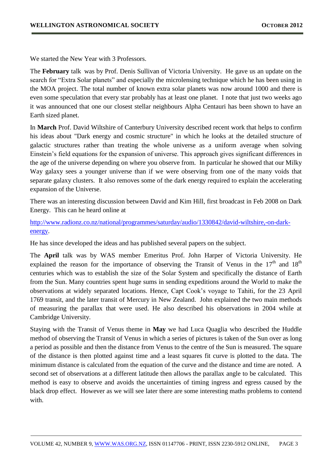We started the New Year with 3 Professors.

The **February** talk was by Prof. Denis Sullivan of Victoria University. He gave us an update on the search for "Extra Solar planets" and especially the microlensing technique which he has been using in the MOA project. The total number of known extra solar planets was now around 1000 and there is even some speculation that every star probably has at least one planet. I note that just two weeks ago it was announced that one our closest stellar neighbours Alpha Centauri has been shown to have an Earth sized planet.

In **March** Prof. David Wiltshire of Canterbury University described recent work that helps to confirm his ideas about "Dark energy and cosmic structure" in which he looks at the detailed structure of galactic structures rather than treating the whole universe as a uniform average when solving Einstein's field equations for the expansion of universe. This approach gives significant differences in the age of the universe depending on where you observe from. In particular he showed that our Milky Way galaxy sees a younger universe than if we were observing from one of the many voids that separate galaxy clusters. It also removes some of the dark energy required to explain the accelerating expansion of the Universe.

There was an interesting discussion between David and Kim Hill, first broadcast in Feb 2008 on Dark Energy. This can he heard online at

[http://www.radionz.co.nz/national/programmes/saturday/audio/1330842/david-wiltshire,-on-dark](http://www.radionz.co.nz/national/programmes/saturday/audio/1330842/david-wiltshire,-on-dark-energy)[energy.](http://www.radionz.co.nz/national/programmes/saturday/audio/1330842/david-wiltshire,-on-dark-energy)

He has since developed the ideas and has published several papers on the subject.

The **April** talk was by WAS member Emeritus Prof. John Harper of Victoria University. He explained the reason for the importance of observing the Transit of Venus in the  $17<sup>th</sup>$  and  $18<sup>th</sup>$ centuries which was to establish the size of the Solar System and specifically the distance of Earth from the Sun. Many countries spent huge sums in sending expeditions around the World to make the observations at widely separated locations. Hence, Capt Cook's voyage to Tahiti, for the 23 April 1769 transit, and the later transit of Mercury in New Zealand. John explained the two main methods of measuring the parallax that were used. He also described his observations in 2004 while at Cambridge University.

Staying with the Transit of Venus theme in **May** we had Luca Quaglia who described the Huddle method of observing the Transit of Venus in which a series of pictures is taken of the Sun over as long a period as possible and then the distance from Venus to the centre of the Sun is measured. The square of the distance is then plotted against time and a least squares fit curve is plotted to the data. The minimum distance is calculated from the equation of the curve and the distance and time are noted. A second set of observations at a different latitude then allows the parallax angle to be calculated. This method is easy to observe and avoids the uncertainties of timing ingress and egress caused by the black drop effect. However as we will see later there are some interesting maths problems to contend with.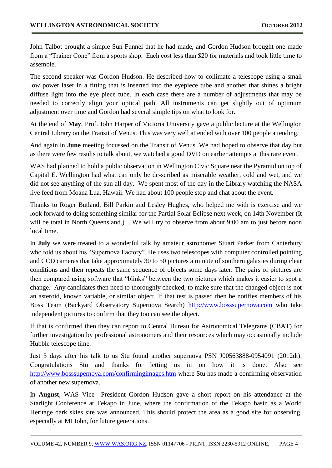John Talbot brought a simple Sun Funnel that he had made, and Gordon Hudson brought one made from a "Trainer Cone" from a sports shop. Each cost less than \$20 for materials and took little time to assemble.

The second speaker was Gordon Hudson. He described how to collimate a telescope using a small low power laser in a fitting that is inserted into the eyepiece tube and another that shines a bright diffuse light into the eye piece tube. In each case there are a number of adjustments that may be needed to correctly align your optical path. All instruments can get slightly out of optimum adjustment over time and Gordon had several simple tips on what to look for.

At the end of **May**, Prof. John Harper of Victoria University gave a public lecture at the Wellington Central Library on the Transit of Venus. This was very well attended with over 100 people attending.

And again in **June** meeting focussed on the Transit of Venus. We had hoped to observe that day but as there were few results to talk about, we watched a good DVD on earlier attempts at this rare event.

WAS had planned to hold a public observation in Wellington Civic Square near the Pyramid on top of Capital E. Wellington had what can only be de-scribed as miserable weather, cold and wet, and we did not see anything of the sun all day. We spent most of the day in the Library watching the NASA live feed from Moana Lua, Hawaii. We had about 100 people stop and chat about the event.

Thanks to Roger Butland, Bill Parkin and Lesley Hughes, who helped me with is exercise and we look forward to doing something similar for the Partial Solar Eclipse next week, on 14th November (It will be total in North Queensland.) . We will try to observe from about 9:00 am to just before noon local time.

In **July** we were treated to a wonderful talk by amateur astronomer Stuart Parker from Canterbury who told us about his "Supernova Factory". He uses two telescopes with computer controlled pointing and CCD cameras that take approximately 30 to 50 pictures a minute of southern galaxies during clear conditions and then repeats the same sequence of objects some days later. The pairs of pictures are then compared using software that "blinks" between the two pictures which makes it easier to spot a change. Any candidates then need to thoroughly checked, to make sure that the changed object is not an asteroid, known variable, or similar object. If that test is passed then he notifies members of his Boss Team (Backyard Observatory Supernova Search) [http://www.bosssupernova.com](http://www.bosssupernova.com/) who take independent pictures to confirm that they too can see the object.

If that is confirmed then they can report to Central Bureau for Astronomical Telegrams (CBAT) for further investigation by professional astronomers and their resources which may occasionally include Hubble telescope time.

Just 3 days after his talk to us Stu found another supernova PSN J00563888-0954091 (2012dt). Congratulations Stu and thanks for letting us in on how it is done. Also see <http://www.bosssupernova.com/confirmingimages.htm> where Stu has made a confirming observation of another new supernova.

In **August**, WAS Vice –President Gordon Hudson gave a short report on his attendance at the Starlight Conference at Tekapo in June, where the confirmation of the Tekapo basin as a World Heritage dark skies site was announced. This should protect the area as a good site for observing, especially at Mt John, for future generations.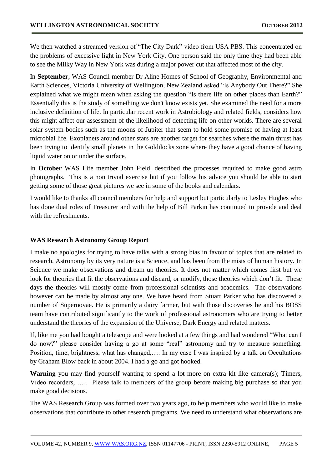We then watched a streamed version of "The City Dark" video from USA PBS. This concentrated on the problems of excessive light in New York City. One person said the only time they had been able to see the Milky Way in New York was during a major power cut that affected most of the city.

In **September**, WAS Council member Dr Aline Homes of School of Geography, Environmental and Earth Sciences, Victoria University of Wellington, New Zealand asked "Is Anybody Out There?" She explained what we might mean when asking the question "Is there life on other places than Earth?" Essentially this is the study of something we don't know exists yet. She examined the need for a more inclusive definition of life. In particular recent work in Astrobiology and related fields, considers how this might affect our assessment of the likelihood of detecting life on other worlds. There are several solar system bodies such as the moons of Jupiter that seem to hold some promise of having at least microbial life. Exoplanets around other stars are another target for searches where the main thrust has been trying to identify small planets in the Goldilocks zone where they have a good chance of having liquid water on or under the surface.

In **October** WAS Life member John Field, described the processes required to make good astro photographs. This is a non trivial exercise but if you follow his advice you should be able to start getting some of those great pictures we see in some of the books and calendars.

I would like to thanks all council members for help and support but particularly to Lesley Hughes who has done dual roles of Treasurer and with the help of Bill Parkin has continued to provide and deal with the refreshments.

### **WAS Research Astronomy Group Report**

I make no apologies for trying to have talks with a strong bias in favour of topics that are related to research. Astronomy by its very nature is a Science, and has been from the mists of human history. In Science we make observations and dream up theories. It does not matter which comes first but we look for theories that fit the observations and discard, or modify, those theories which don't fit. These days the theories will mostly come from professional scientists and academics. The observations however can be made by almost any one. We have heard from Stuart Parker who has discovered a number of Supernovae. He is primarily a dairy farmer, but with those discoveries he and his BOSS team have contributed significantly to the work of professional astronomers who are trying to better understand the theories of the expansion of the Universe, Dark Energy and related matters.

If, like me you had bought a telescope and were looked at a few things and had wondered "What can I do now?" please consider having a go at some "real" astronomy and try to measure something. Position, time, brightness, what has changed,…. In my case I was inspired by a talk on Occultations by Graham Blow back in about 2004. I had a go and got hooked.

**Warning** you may find yourself wanting to spend a lot more on extra kit like camera(s); Timers, Video recorders, … . Please talk to members of the group before making big purchase so that you make good decisions.

The WAS Research Group was formed over two years ago, to help members who would like to make observations that contribute to other research programs. We need to understand what observations are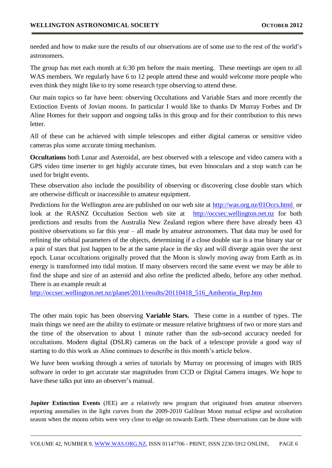needed and how to make sure the results of our observations are of some use to the rest of the world's astronomers.

The group has met each month at 6:30 pm before the main meeting. These meetings are open to all WAS members. We regularly have 6 to 12 people attend these and would welcome more people who even think they might like to try some research type observing to attend these.

Our main topics so far have been: observing Occultations and Variable Stars and more recently the Extinction Events of Jovian moons. In particular I would like to thanks Dr Murray Forbes and Dr Aline Homes for their support and ongoing talks in this group and for their contribution to this news letter.

All of these can be achieved with simple telescopes and either digital cameras or sensitive video cameras plus some accurate timing mechanism.

**Occultations** both Lunar and Asteroidal, are best observed with a telescope and video camera with a GPS video time inserter to get highly accurate times, but even binoculars and a stop watch can be used for bright events.

These observation also include the possibility of observing or discovering close double stars which are otherwise difficult or inaccessible to amateur equipment.

Predictions for the Wellington area are published on our web site at<http://was.org.nz/01Occs.html> or look at the RASNZ Occultation Section web site at [http://occsec.wellington.net.nz](http://occsec.wellington.net.nz/) for both predictions and results from the Australia New Zealand region where there have already been 43 positive observations so far this year – all made by amateur astronomers. That data may be used for refining the orbital parameters of the objects, determining if a close double star is a true binary star or a pair of stars that just happen to be at the same place in the sky and will diverge again over the next epoch. Lunar occultations originally proved that the Moon is slowly moving away from Earth as its energy is transformed into tidal motion. If many observers record the same event we may be able to find the shape and size of an asteroid and also refine the predicted albedo, before any other method. There is an example result at

[http://occsec.wellington.net.nz/planet/2011/results/20110418\\_516\\_Amherstia\\_Rep.htm](http://occsec.wellington.net.nz/planet/2011/results/20110418_516_Amherstia_Rep.htm) 

The other main topic has been observing **Variable Stars.** These come in a number of types. The main things we need are the ability to estimate or measure relative brightness of two or more stars and the time of the observation to about 1 minute rather than the sub-second accuracy needed for occultations. Modern digital (DSLR) cameras on the back of a telescope provide a good way of starting to do this work as Aline continues to describe in this month's article below.

We have been working through a series of tutorials by Murray on processing of images with IRIS software in order to get accurate star magnitudes from CCD or Digital Camera images. We hope to have these talks put into an observer's manual.

**Jupiter Extinction Events** (JEE) are a relatively new program that originated from amateur observers reporting anomalies in the light curves from the 2009-2010 Galilean Moon mutual eclipse and occultation season when the moons orbits were very close to edge on towards Earth. These observations can be done with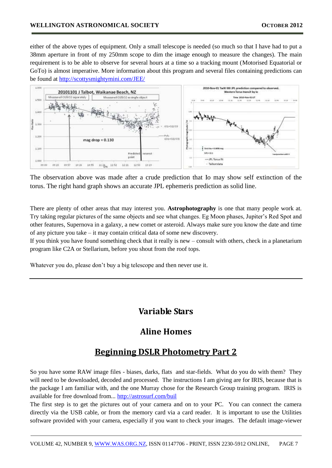either of the above types of equipment. Only a small telescope is needed (so much so that I have had to put a 38mm aperture in front of my 250mm scope to dim the image enough to measure the changes). The main requirement is to be able to observe for several hours at a time so a tracking mount (Motorised Equatorial or GoTo) is almost imperative. More information about this program and several files containing predictions can be found at<http://scottysmightymini.com/JEE/>



The observation above was made after a crude prediction that Io may show self extinction of the torus. The right hand graph shows an accurate JPL ephemeris prediction as solid line.

There are plenty of other areas that may interest you. **Astrophotography** is one that many people work at. Try taking regular pictures of the same objects and see what changes. Eg Moon phases, Jupiter's Red Spot and other features, Supernova in a galaxy, a new comet or asteroid. Always make sure you know the date and time of any picture you take – it may contain critical data of some new discovery.

If you think you have found something check that it really is new – consult with others, check in a planetarium program like C2A or Stellarium, before you shout from the roof tops.

Whatever you do, please don't buy a big telescope and then never use it.

## **Variable Stars**

## **Aline Homes**

## **Beginning DSLR Photometry Part 2**

So you have some RAW image files - biases, darks, flats and star-fields. What do you do with them? They will need to be downloaded, decoded and processed. The instructions I am giving are for IRIS, because that is the package I am familiar with, and the one Murray chose for the Research Group training program. IRIS is available for free download from... <http://astrosurf.com/buil>

The first step is to get the pictures out of your camera and on to your PC. You can connect the camera directly via the USB cable, or from the memory card via a card reader. It is important to use the Utilities software provided with your camera, especially if you want to check your images. The default image-viewer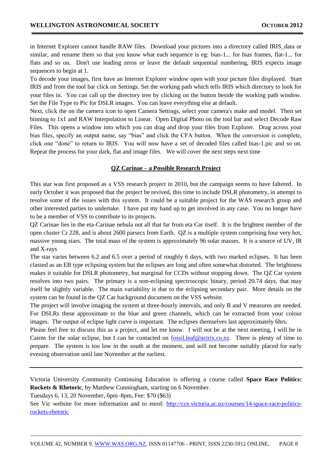in Internet Explorer cannot handle RAW files. Download your pictures into a directory called IRIS\_data or similar, and rename them so that you know what each sequence is eg: bias-1... for bias frames, flat-1... for flats and so on. Don't use leading zeros or leave the default sequential numbering, IRIS expects image sequences to begin at 1.

To decode your images, first have an Internet Explorer window open with your picture files displayed. Start IRIS and from the tool bar click on Settings. Set the working path which tells IRIS which directory to look for your files in. You can call up the directory tree by clicking on the button beside the working path window. Set the File Type to Pic for DSLR images. You can leave everything else at default.

Next, click the on the camera icon to open Camera Settings, select your camera's make and model. Then set binning to 1x1 and RAW Interpolation to Linear. Open Digital Photo on the tool bar and select Decode Raw Files. This opens a window into which you can drag and drop your files from Explorer. Drag across your bias files, specify an output name, say "bias" and click the CFA button. When the conversion is complete, click one "done" to return to IRIS. You will now have a set of decoded files called bias-1.pic and so on. Repeat the process for your dark, flat and image files. We will cover the next steps next time

#### **QZ Carinae – a Possible Research Project**

This star was first proposed as a VSS research project in 2010, but the campaign seems to have faltered. In early October it was proposed that the project be revived, this time to include DSLR photometry, in attempt to resolve some of the issues with this system. It could be a suitable project for the WAS research group and other interested parties to undertake. I have put my hand up to get involved in any case. You no longer have to be a member of VSS to contribute to its projects.

QZ Carinae lies in the eta-Carinae nebula not all that far from eta Car itself. It is the brightest member of the open cluster Cr 228, and is about 2600 parsecs from Earth. QZ is a multiple system comprising four very hot, massive young stars. The total mass of the system is approximately 96 solar masses. It is a source of UV, IR and X-rays

The star varies between 6.2 and 6.5 over a period of roughly 6 days, with two marked eclipses. It has been classed as an EB type eclipsing system but the eclipses are long and often somewhat distorted. The brightness makes it suitable for DSLR photometry, but marginal for CCDs without stopping down. The QZ Car system resolves into two pairs. The primary is a non-eclipsing spectroscopic binary, period 20.74 days, that may itself be slightly variable. The main variability is due to the eclipsing secondary pair. More details on the system can be found in the QZ Car background document on the VSS website.

The project will involve imaging the system at three-hourly intervals, and only B and V measures are needed. For DSLRs these approximate to the blue and green channels, which can be extracted from your colour images. The output of eclipse light curve is important. The eclipses themselves last approximately 6hrs.

Please feel free to discuss this as a project, and let me know. I will not be at the next meeting, I will be in Cairns for the solar eclipse, but I can be contacted on <u>fossil.leaf@actrix.co.nz</u>. There is plenty of time to prepare. The system is too low in the south at the moment, and will not become suitably placed for early evening observation until late November at the earliest.

Victoria University Community Continuing Education is offering a course called **Space Race Politics: Rockets & Rhetoric**, by Matthew Cunningham, starting on 6 November.

Tuesdays 6, 13, 20 November, 6pm–8pm, Fee: \$70 (\$63)

See Vic website for more information and to enrol: [http://cce.victoria.ac.nz/courses/14-space-race-politics](http://cce.victoria.ac.nz/courses/14-space-race-politics-rockets-rhetoric)[rockets-rhetoric](http://cce.victoria.ac.nz/courses/14-space-race-politics-rockets-rhetoric)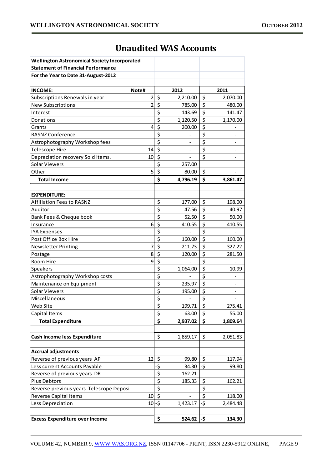| <b>Wellington Astronomical Society Incorporated</b> |                         |                                     |          |     |                          |  |  |
|-----------------------------------------------------|-------------------------|-------------------------------------|----------|-----|--------------------------|--|--|
| <b>Statement of Financial Performance</b>           |                         |                                     |          |     |                          |  |  |
| For the Year to Date 31-August-2012                 |                         |                                     |          |     |                          |  |  |
|                                                     |                         |                                     |          |     |                          |  |  |
| <b>INCOME:</b>                                      | Note#                   |                                     | 2012     |     | 2011                     |  |  |
| Subscriptions Renewals in year                      | $\overline{\mathbf{c}}$ | \$                                  | 2,210.00 | \$  | 2,070.00                 |  |  |
| <b>New Subscriptions</b>                            | $\overline{2}$          | \$                                  | 785.00   | \$  | 480.00                   |  |  |
| Interest                                            |                         | \$                                  | 143.69   | \$  | 141.47                   |  |  |
| Donations                                           |                         | \$                                  | 1,120.50 | \$  | 1,170.00                 |  |  |
| Grants                                              | 4                       | \$                                  | 200.00   | \$  |                          |  |  |
| RASNZ Conference                                    |                         | \$                                  |          | \$  |                          |  |  |
| Astrophotography Workshop fees                      |                         | \$                                  |          | \$  |                          |  |  |
| Telescope Hire                                      | 14                      | $\zeta$                             |          | \$  |                          |  |  |
| Depreciation recovery Sold Items.                   | 10                      | \$                                  |          | \$  |                          |  |  |
| <b>Solar Viewers</b>                                |                         | \$                                  | 257.00   |     |                          |  |  |
| Other                                               | 5                       | \$                                  | 80.00    | \$  |                          |  |  |
| <b>Total Income</b>                                 |                         | \$                                  | 4,796.19 | \$  | 3,861.47                 |  |  |
|                                                     |                         |                                     |          |     |                          |  |  |
| <b>EXPENDITURE:</b>                                 |                         |                                     |          |     |                          |  |  |
| <b>Affiliation Fees to RASNZ</b>                    |                         | \$                                  | 177.00   | \$  | 198.00                   |  |  |
| Auditor                                             |                         | $\overline{\boldsymbol{\varsigma}}$ | 47.56    | \$  | 40.97                    |  |  |
| Bank Fees & Cheque book                             |                         | \$                                  | 52.50    | \$  | 50.00                    |  |  |
| Insurance                                           | 6                       | \$                                  | 410.55   | \$  | 410.55                   |  |  |
| <b>IYA Expenses</b>                                 |                         | \$                                  |          | \$  |                          |  |  |
| Post Office Box Hire                                |                         | \$                                  | 160.00   | \$  | 160.00                   |  |  |
| <b>Newsletter Printing</b>                          | 7                       | $\overline{\xi}$                    | 211.73   | \$  | 327.22                   |  |  |
| Postage                                             | 8                       | \$                                  | 120.00   | \$  | 281.50                   |  |  |
| Room Hire                                           | 9                       | \$                                  |          | \$  |                          |  |  |
| Speakers                                            |                         | \$                                  | 1,064.00 | \$  | 10.99                    |  |  |
| Astrophotography Workshop costs                     |                         | \$                                  |          | \$  |                          |  |  |
| Maintenance on Equipment                            |                         | \$                                  | 235.97   | \$  |                          |  |  |
| <b>Solar Viewers</b>                                |                         | \$                                  | 195.00   | \$  | $\overline{\phantom{0}}$ |  |  |
| Miscellaneous                                       |                         | $\overline{\boldsymbol{\zeta}}$     |          | \$  |                          |  |  |
| Web Site                                            |                         | $\overline{\xi}$                    | 199.71   | \$  | 275.41                   |  |  |
| Capital Items                                       |                         | $\overline{\boldsymbol{\varsigma}}$ | 63.00    | \$  | 55.00                    |  |  |
| <b>Total Expenditure</b>                            |                         | \$                                  | 2,937.02 | \$  | 1,809.64                 |  |  |
|                                                     |                         |                                     |          |     |                          |  |  |
| <b>Cash Income less Expenditure</b>                 |                         | \$                                  | 1,859.17 | \$  | 2,051.83                 |  |  |
|                                                     |                         |                                     |          |     |                          |  |  |
| <b>Accrual adjustments</b>                          |                         |                                     |          |     |                          |  |  |
| Reverse of previous years AP                        | 12                      | \$                                  | 99.80    | \$  | 117.94                   |  |  |
| Less current Accounts Payable                       |                         | -\$                                 | 34.30    | -\$ | 99.80                    |  |  |
| Reverse of previous years DR                        |                         | $-\frac{1}{5}$                      | 162.21   |     |                          |  |  |
| Plus Debtors                                        |                         | \$                                  | 185.33   | \$  | 162.21                   |  |  |
| Reverse previous years Telescope Deposi             |                         | $\overline{\xi}$                    |          | \$  |                          |  |  |
| Reverse Capital Items                               | 10                      | $\overline{\xi}$                    |          | \$  | 118.00                   |  |  |
| Less Depreciation                                   | $10 - 5$                |                                     | 1,423.17 | -\$ | 2,484.48                 |  |  |
|                                                     |                         |                                     |          |     |                          |  |  |
| <b>Excess Expenditure over Income</b>               |                         | \$                                  | 524.62   | -\$ | 134.30                   |  |  |

# **Unaudited WAS Accounts**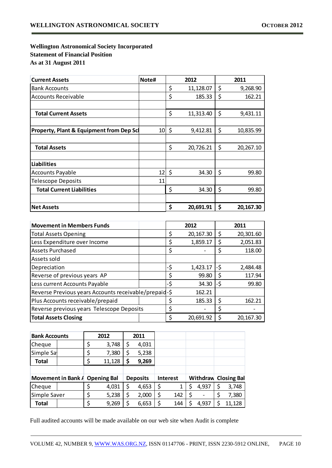## **Wellington Astronomical Society Incorporated Statement of Financial Position As at 31 August 2011**

| <b>Current Assets</b>                               | Note#           | 2012 |           |    | 2011      |  |  |
|-----------------------------------------------------|-----------------|------|-----------|----|-----------|--|--|
| <b>Bank Accounts</b>                                |                 | \$   | 11,128.07 | \$ | 9,268.90  |  |  |
| <b>Accounts Receivable</b>                          |                 | \$   | 185.33    | \$ | 162.21    |  |  |
|                                                     |                 |      |           |    |           |  |  |
| <b>Total Current Assets</b>                         |                 | \$   | 11,313.40 | \$ | 9,431.11  |  |  |
|                                                     |                 |      |           |    |           |  |  |
| <b>Property, Plant &amp; Equipment from Dep Scl</b> | $10 \mid \zeta$ |      | 9,412.81  | \$ | 10,835.99 |  |  |
|                                                     |                 |      |           |    |           |  |  |
| <b>Total Assets</b>                                 |                 | \$   | 20,726.21 |    | 20,267.10 |  |  |
|                                                     |                 |      |           |    |           |  |  |
| <b>Liabilities</b>                                  |                 |      |           |    |           |  |  |
| <b>Accounts Payable</b>                             | $12 \mid 5$     |      | 34.30     | \$ | 99.80     |  |  |
| <b>Telescope Deposits</b>                           | 11              |      |           |    |           |  |  |
| <b>Total Current Liabilities</b>                    |                 | \$   | 34.30     | \$ | 99.80     |  |  |
|                                                     |                 |      |           |    |           |  |  |
| <b>Net Assets</b>                                   |                 | \$   | 20,691.91 | \$ | 20,167.30 |  |  |

| <b>Movement in Members Funds</b>                      |     | 2012   | 2011      |        |           |  |  |
|-------------------------------------------------------|-----|--------|-----------|--------|-----------|--|--|
| <b>Total Assets Opening</b>                           |     | \$     | 20,167.30 | Ş      | 20,301.60 |  |  |
| Less Expenditure over Income                          |     | \$     | 1,859.17  |        | 2,051.83  |  |  |
| <b>Assets Purchased</b>                               |     | \$     |           | 118.00 |           |  |  |
| Assets sold                                           |     |        |           |        |           |  |  |
| Depreciation                                          |     | -\$    | 1,423.17  | -\$    | 2,484.48  |  |  |
| Reverse of previous years AP                          |     | \$     | 99.80     | S      | 117.94    |  |  |
| Less current Accounts Payable                         | -\$ | 34.30  | -\$       | 99.80  |           |  |  |
| Reverse Previous years Accounts receivable/prepaid-\$ |     | 162.21 |           |        |           |  |  |
| Plus Accounts receivable/prepaid                      |     | \$     | 185.33    | Ş      | 162.21    |  |  |
| Reverse previous years Telescope Deposits             |     | \$     |           |        |           |  |  |
| <b>Total Assets Closing</b>                           |     | \$     | 20,691.92 |        | 20,167.30 |  |  |

| <b>Bank Accounts</b>           |  | 2012 |        | 2011 |                 |                 |       |                             |
|--------------------------------|--|------|--------|------|-----------------|-----------------|-------|-----------------------------|
| Cheque                         |  |      | 3,748  | \$   | 4,031           |                 |       |                             |
| Simple Sa                      |  | \$   | 7,380  | \$   | 5,238           |                 |       |                             |
| <b>Total</b>                   |  | \$   | 11,128 | \$   | 9,269           |                 |       |                             |
|                                |  |      |        |      |                 |                 |       |                             |
| Movement in Bank A Opening Bal |  |      |        |      | <b>Deposits</b> | <b>Interest</b> |       | <b>Withdraw Closing Bal</b> |
| Cheque                         |  |      | 4,031  |      | 4,653           | \$<br>1         | 4,937 | 3,748                       |
| Simple Saver                   |  |      | 5,238  |      | 2,000           | \$<br>142       |       | 7,380                       |
| <b>Total</b>                   |  |      | 9,269  |      | 6,653           | \$<br>144       | 4,937 | 11,128                      |

Full audited accounts will be made available on our web site when Audit is complete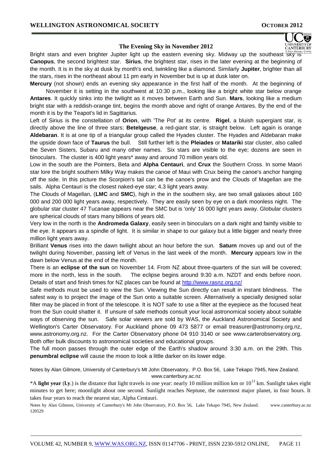#### **The Evening Sky in November 2012**

Bright stars and even brighter Jupiter light up the eastern evening sky. Midway up the southeast sky is **Canopus**, the second brightest star. **Sirius**, the brightest star, rises in the later evening at the beginning of the month. It is in the sky at dusk by month's end, twinkling like a diamond. Similarly **Jupiter**, brighter than all the stars, rises in the northeast about 11 pm early in November but is up at dusk later on.

**Mercury** (not shown) ends an evening sky appearance in the first half of the month. At the beginning of November it is setting in the southwest at 10:30 p.m., looking like a bright white star below orange **Antares**. It quickly sinks into the twilight as it moves between Earth and Sun. **Mars**, looking like a medium bright star with a reddish-orange tint, begins the month above and right of orange Antares. By the end of the month it is by the Teapot's lid in Sagittarius.

Left of Sirius is the constellation of **Orion**, with 'The Pot' at its centre. **Rigel**, a bluish supergiant star, is directly above the line of three stars; **Betelgeuse**, a red-giant star, is straight below. Left again is orange **Aldebaran**. It is at one tip of a triangular group called the Hyades cluster. The Hyades and Aldebaran make the upside down face of **Taurus** the bull. Still further left is the **Pleiades** or **Matariki** star cluster, also called the Seven Sisters, Subaru and many other names. Six stars are visible to the eye; dozens are seen in binoculars. The cluster is 400 light years\* away and around 70 million years old.

Low in the south are the Pointers, Beta and **Alpha Centauri**, and **Crux** the Southern Cross. In some Maori star lore the bright southern Milky Way makes the canoe of Maui with Crux being the canoe's anchor hanging off the side. In this picture the Scorpion's tail can be the canoe's prow and the Clouds of Magellan are the sails. Alpha Centauri is the closest naked-eye star; 4.3 light years away.

The Clouds of Magellan, (**LMC** and **SMC**), high in the in the southern sky, are two small galaxies about 160 000 and 200 000 light years away, respectively. They are easily seen by eye on a dark moonless night. The globular star cluster 47 Tucanae appears near the SMC but is 'only' 16 000 light years away. Globular clusters are spherical clouds of stars many billions of years old.

Very low in the north is the **Andromeda Galaxy**, easily seen in binoculars on a dark night and faintly visible to the eye. It appears as a spindle of light. It is similar in shape to our galaxy but a little bigger and nearly three million light years away.

Brilliant **Venus** rises into the dawn twilight about an hour before the sun. **Saturn** moves up and out of the twilight during November, passing left of Venus in the last week of the month. **Mercury** appears low in the dawn below Venus at the end of the month.

There is an **eclipse of the sun** on November 14. From NZ about three-quarters of the sun will be covered; more in the north, less in the south. The eclipse begins around 9:30 a.m. NZDT and ends before noon. Details of start and finish times for NZ places can be found at<http://www.rasnz.org.nz/>

Safe methods must be used to view the Sun. Viewing the Sun directly can result in instant blindness. The safest way is to project the image of the Sun onto a suitable screen. Alternatively a specially designed solar filter may be placed in front of the telescope. It is NOT safe to use a filter at the eyepiece as the focused heat from the Sun could shatter it. If unsure of safe methods consult your local astronomical society about suitable ways of observing the sun. Safe solar viewers are sold by WAS, the Auckland Astronomical Society and Wellington's Carter Observatory. For Auckland phone 09 473 5877 or email treasurer@astronomy.org.nz, www.astronomy.org.nz. For the Carter Observatory phone 04 910 3140 or see www.carterobservatory.org. Both offer bulk discounts to astronomical societies and educational groups.

The full moon passes through the outer edge of the Earth's shadow around 3:30 a.m. on the 29th. This **penumbral eclipse** will cause the moon to look a little darker on its lower edge.

Notes by Alan Gilmore, University of Canterbury's Mt John Observatory, P.O. Box 56, Lake Tekapo 7945, New Zealand. www.canterbury.ac.nz

\*A **light year** (l.y.) is the distance that light travels in one year: nearly 10 million million km or 10<sup>13</sup> km. Sunlight takes eight minutes to get here; moonlight about one second. Sunlight reaches Neptune, the outermost major planet, in four hours. It takes four years to reach the nearest star, Alpha Centauri.

Notes by Alan Gilmore, University of Canterbury's Mt John Observatory, P.O. Box 56, Lake Tekapo 7945, New Zealand. www.canterbury.ac.nz 120529